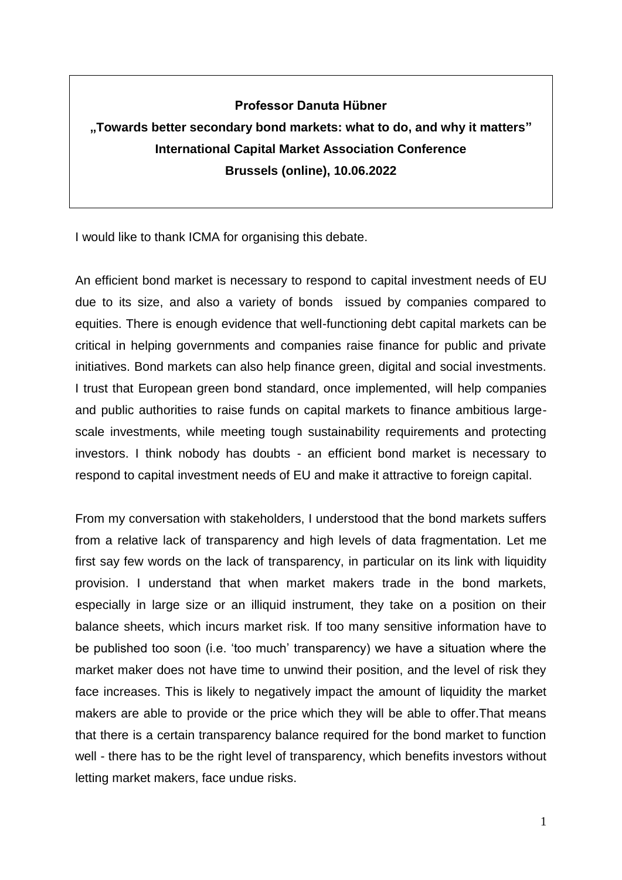## **Professor Danuta Hübner**

## **"Towards better secondary bond markets: what to do, and why it matters" International Capital Market Association Conference Brussels (online), 10.06.2022**

I would like to thank ICMA for organising this debate.

An efficient bond market is necessary to respond to capital investment needs of EU due to its size, and also a variety of bonds issued by companies compared to equities. There is enough evidence that well-functioning debt capital markets can be critical in helping governments and companies raise finance for public and private initiatives. Bond markets can also help finance green, digital and social investments. I trust that European green bond standard, once implemented, will help companies and public authorities to raise funds on capital markets to finance ambitious largescale investments, while meeting tough sustainability requirements and protecting investors. I think nobody has doubts - an efficient bond market is necessary to respond to capital investment needs of EU and make it attractive to foreign capital.

From my conversation with stakeholders, I understood that the bond markets suffers from a relative lack of transparency and high levels of data fragmentation. Let me first say few words on the lack of transparency, in particular on its link with liquidity provision. I understand that when market makers trade in the bond markets, especially in large size or an illiquid instrument, they take on a position on their balance sheets, which incurs market risk. If too many sensitive information have to be published too soon (i.e. 'too much' transparency) we have a situation where the market maker does not have time to unwind their position, and the level of risk they face increases. This is likely to negatively impact the amount of liquidity the market makers are able to provide or the price which they will be able to offer.That means that there is a certain transparency balance required for the bond market to function well - there has to be the right level of transparency, which benefits investors without letting market makers, face undue risks.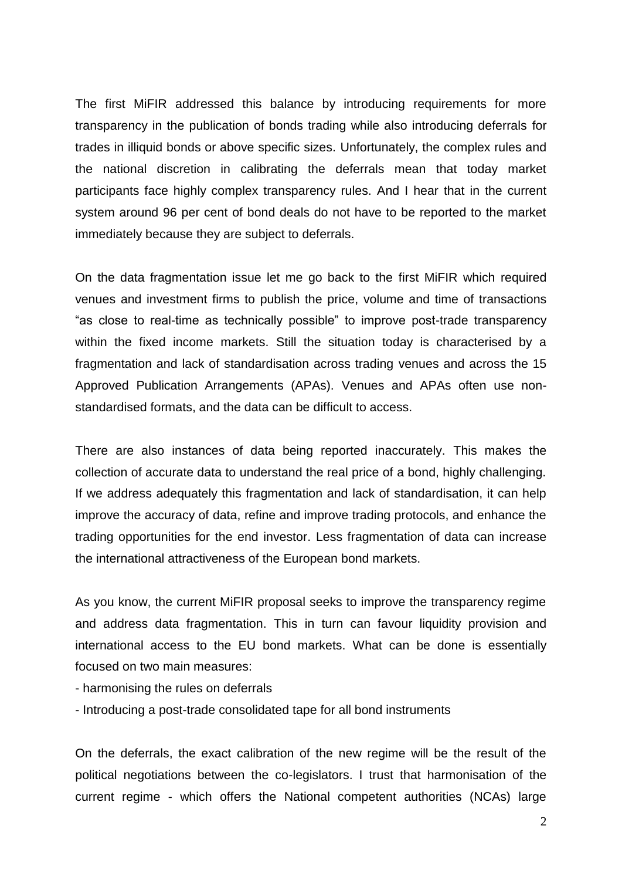The first MiFIR addressed this balance by introducing requirements for more transparency in the publication of bonds trading while also introducing deferrals for trades in illiquid bonds or above specific sizes. Unfortunately, the complex rules and the national discretion in calibrating the deferrals mean that today market participants face highly complex transparency rules. And I hear that in the current system around 96 per cent of bond deals do not have to be reported to the market immediately because they are subject to deferrals.

On the data fragmentation issue let me go back to the first MiFIR which required venues and investment firms to publish the price, volume and time of transactions "as close to real-time as technically possible" to improve post-trade transparency within the fixed income markets. Still the situation today is characterised by a fragmentation and lack of standardisation across trading venues and across the 15 Approved Publication Arrangements (APAs). Venues and APAs often use nonstandardised formats, and the data can be difficult to access.

There are also instances of data being reported inaccurately. This makes the collection of accurate data to understand the real price of a bond, highly challenging. If we address adequately this fragmentation and lack of standardisation, it can help improve the accuracy of data, refine and improve trading protocols, and enhance the trading opportunities for the end investor. Less fragmentation of data can increase the international attractiveness of the European bond markets.

As you know, the current MiFIR proposal seeks to improve the transparency regime and address data fragmentation. This in turn can favour liquidity provision and international access to the EU bond markets. What can be done is essentially focused on two main measures:

- harmonising the rules on deferrals
- Introducing a post-trade consolidated tape for all bond instruments

On the deferrals, the exact calibration of the new regime will be the result of the political negotiations between the co-legislators. I trust that harmonisation of the current regime - which offers the National competent authorities (NCAs) large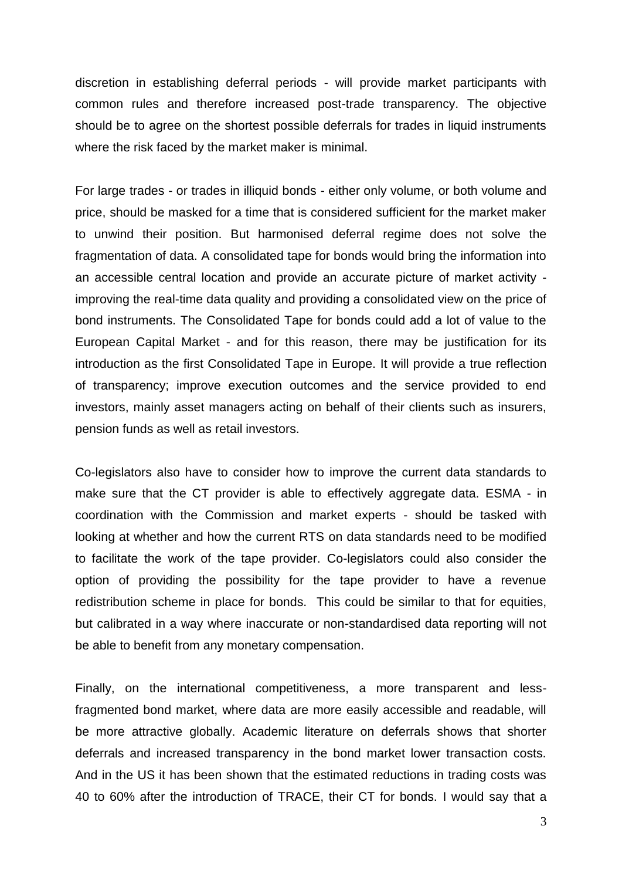discretion in establishing deferral periods - will provide market participants with common rules and therefore increased post-trade transparency. The objective should be to agree on the shortest possible deferrals for trades in liquid instruments where the risk faced by the market maker is minimal.

For large trades - or trades in illiquid bonds - either only volume, or both volume and price, should be masked for a time that is considered sufficient for the market maker to unwind their position. But harmonised deferral regime does not solve the fragmentation of data. A consolidated tape for bonds would bring the information into an accessible central location and provide an accurate picture of market activity improving the real-time data quality and providing a consolidated view on the price of bond instruments. The Consolidated Tape for bonds could add a lot of value to the European Capital Market - and for this reason, there may be justification for its introduction as the first Consolidated Tape in Europe. It will provide a true reflection of transparency; improve execution outcomes and the service provided to end investors, mainly asset managers acting on behalf of their clients such as insurers, pension funds as well as retail investors.

Co-legislators also have to consider how to improve the current data standards to make sure that the CT provider is able to effectively aggregate data. ESMA - in coordination with the Commission and market experts - should be tasked with looking at whether and how the current RTS on data standards need to be modified to facilitate the work of the tape provider. Co-legislators could also consider the option of providing the possibility for the tape provider to have a revenue redistribution scheme in place for bonds. This could be similar to that for equities, but calibrated in a way where inaccurate or non-standardised data reporting will not be able to benefit from any monetary compensation.

Finally, on the international competitiveness, a more transparent and lessfragmented bond market, where data are more easily accessible and readable, will be more attractive globally. Academic literature on deferrals shows that shorter deferrals and increased transparency in the bond market lower transaction costs. And in the US it has been shown that the estimated reductions in trading costs was 40 to 60% after the introduction of TRACE, their CT for bonds. I would say that a